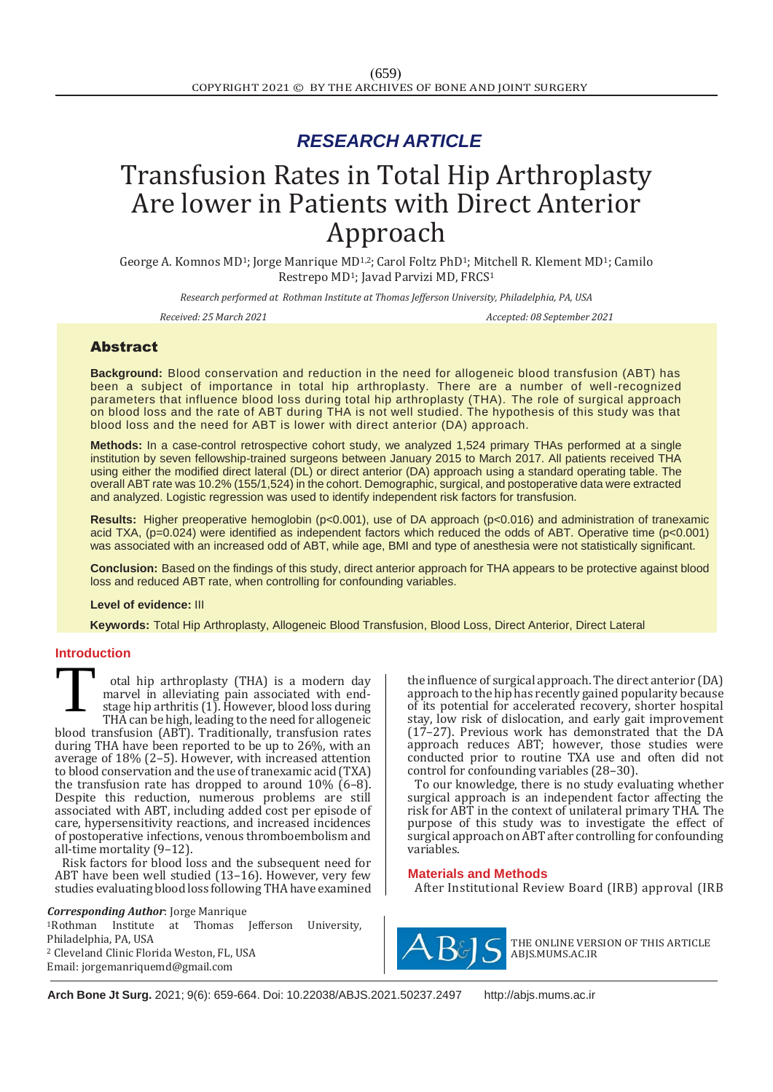# *RESEARCH ARTICLE*

# Transfusion Rates in Total Hip Arthroplasty Are lower in Patients with Direct Anterior Approach

George A. Komnos MD<sup>1</sup>; Jorge Manrique MD<sup>1,2</sup>; Carol Foltz PhD<sup>1</sup>; Mitchell R. Klement MD<sup>1</sup>; Camilo Restrepo MD<sup>1</sup>; Javad Parvizi MD, FRCS<sup>1</sup>

*Research performed at Rothman Institute at Thomas Jefferson University, Philadelphia, PA, USA*

*Received: 25 March 2021 Accepted: 08 September 2021*

# Abstract

**Background:** Blood conservation and reduction in the need for allogeneic blood transfusion (ABT) has been a subject of importance in total hip arthroplasty. There are a number of well-recognized parameters that influence blood loss during total hip arthroplasty (THA). The role of surgical approach on blood loss and the rate of ABT during THA is not well studied. The hypothesis of this study was that blood loss and the need for ABT is lower with direct anterior (DA) approach.

**Methods:** In a case-control retrospective cohort study, we analyzed 1,524 primary THAs performed at a single institution by seven fellowship-trained surgeons between January 2015 to March 2017. All patients received THA using either the modified direct lateral (DL) or direct anterior (DA) approach using a standard operating table. The overall ABT rate was 10.2% (155/1,524) in the cohort. Demographic, surgical, and postoperative data were extracted and analyzed. Logistic regression was used to identify independent risk factors for transfusion.

**Results:** Higher preoperative hemoglobin (p<0.001), use of DA approach (p<0.016) and administration of tranexamic acid TXA, (p=0.024) were identified as independent factors which reduced the odds of ABT. Operative time (p<0.001) was associated with an increased odd of ABT, while age, BMI and type of anesthesia were not statistically significant.

**Conclusion:** Based on the findings of this study, direct anterior approach for THA appears to be protective against blood loss and reduced ABT rate, when controlling for confounding variables.

#### **Level of evidence:** III

 **Keywords:** Total Hip Arthroplasty, Allogeneic Blood Transfusion, Blood Loss, Direct Anterior, Direct Lateral

### **Introduction**

otal hip arthroplasty (THA) is a modern day marvel in alleviating pain associated with endstage hip arthritis (1). However, blood loss during THA can be high, leading to the need for allogeneic blood transfusion (ABT). Traditionally, transfusion rates during THA have been reported to be up to 26%, with an average of 18% (2–5). However, with increased attention to blood conservation and the use of tranexamic acid (TXA) the transfusion rate has dropped to around 10% (6–8). Despite this reduction, numerous problems are still associated with ABT, including added cost per episode of care, hypersensitivity reactions, and increased incidences of postoperative infections, venous thromboembolism and all-time mortality (9–12). T

Risk factors for blood loss and the subsequent need for ABT have been well studied (13–16). However, very few studies evaluating blood loss following THA have examined

#### *Corresponding Author*: Jorge Manrique

<sup>1</sup>Rothman Institute at Thomas Jefferson University, Philadelphia, PA, USA <sup>2</sup> Cleveland Clinic Florida Weston, FL, USA Email: [jorgemanriquemd@gmail.com](mailto:jorgemanriquemd@gmail.com)

the influence of surgical approach. The direct anterior (DA) approach to the hip has recently gained popularity because of its potential for accelerated recovery, shorter hospital stay, low risk of dislocation, and early gait improvement (17–27). Previous work has demonstrated that the DA approach reduces ABT; however, those studies were conducted prior to routine TXA use and often did not control for confounding variables (28–30).

To our knowledge, there is no study evaluating whether surgical approach is an independent factor affecting the risk for ABT in the context of unilateral primary THA. The purpose of this study was to investigate the effect of surgical approach on ABT after controlling for confounding variables.

#### **Materials and Methods**

After Institutional Review Board (IRB) approval (IRB



THE ONLINE VERSION OF THIS ARTICLE ABJS.MUMS.AC.IR

**Arch Bone Jt Surg.** 2021; 9(6): 659-664. Doi: [10.22038/ABJS.2021.50237.2497](https://dx.doi.org/10.22038/abjs.2021.50237.2497) [http://abjs.mums.ac.ir](http://abjs.mums.ac.ir/)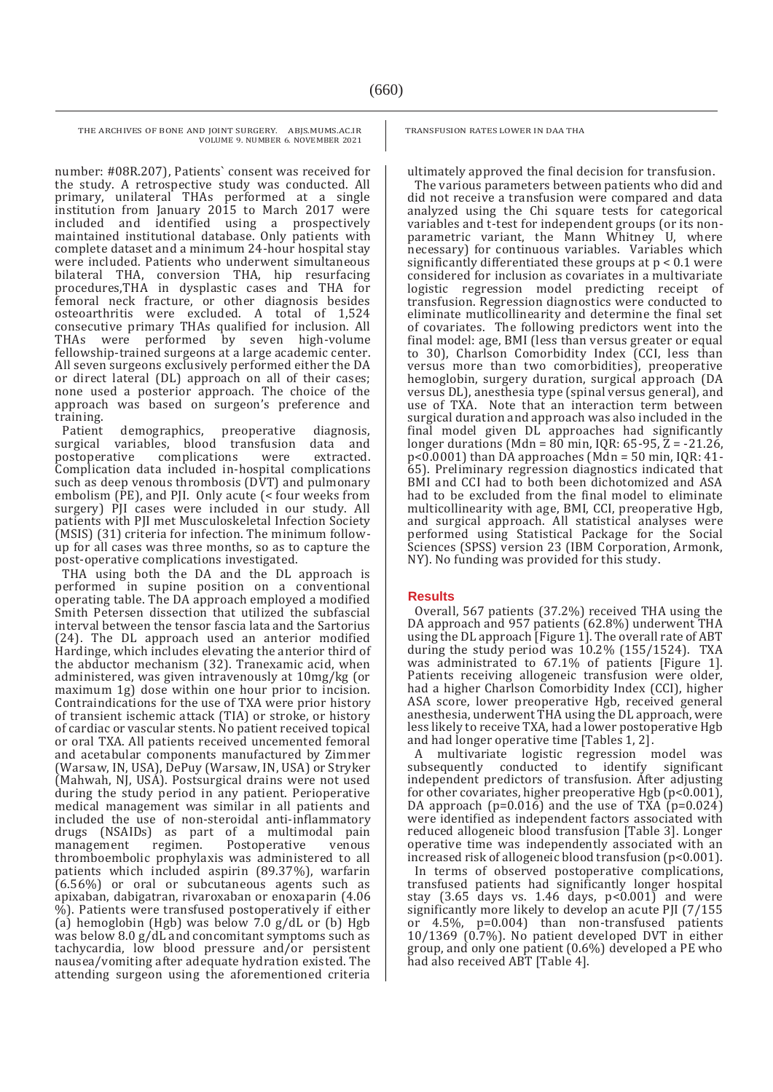number: #08R.207), Patients` consent was received for the study. A retrospective study was conducted. All primary, unilateral THAs performed at a single institution from January 2015 to March 2017 were included and identified using a prospectively maintained institutional database. Only patients with complete dataset and a minimum 24-hour hospital stay were included. Patients who underwent simultaneous bilateral THA, conversion THA, hip resurfacing procedures,THA in dysplastic cases and THA for femoral neck fracture, or other diagnosis besides osteoarthritis were excluded. A total of 1,524 consecutive primary THAs qualified for inclusion. All THAs were performed by seven high-volume fellowship-trained surgeons at a large academic center. All seven surgeons exclusively performed either the DA or direct lateral (DL) approach on all of their cases; none used a posterior approach. The choice of the approach was based on surgeon's preference and training.

Patient demographics, preoperative diagnosis, surgical variables, blood transfusion data and postoperative complications were extracted. Complication data included in-hospital complications such as deep venous thrombosis (DVT) and pulmonary embolism (PE), and PJI. Only acute (< four weeks from surgery) PJI cases were included in our study. All patients with PJI met Musculoskeletal Infection Society (MSIS) (31) criteria for infection. The minimum followup for all cases was three months, so as to capture the post-operative complications investigated.

THA using both the DA and the DL approach is performed in supine position on a conventional operating table. The DA approach employed a modified Smith Petersen dissection that utilized the subfascial interval between the tensor fascia lata and the Sartorius (24). The DL approach used an anterior modified Hardinge, which includes elevating the anterior third of the abductor mechanism (32). Tranexamic acid, when administered, was given intravenously at 10mg/kg (or maximum 1g) dose within one hour prior to incision. Contraindications for the use of TXA were prior history of transient ischemic attack (TIA) or stroke, or history of cardiac or vascular stents. No patient received topical or oral TXA. All patients received uncemented femoral and acetabular components manufactured by Zimmer (Warsaw, IN, USA), DePuy (Warsaw, IN, USA) or Stryker (Mahwah, NJ, USA). Postsurgical drains were not used during the study period in any patient. Perioperative medical management was similar in all patients and included the use of non-steroidal anti-inflammatory drugs (NSAIDs) as part of a multimodal pain Postoperative thromboembolic prophylaxis was administered to all patients which included aspirin (89.37%), warfarin (6.56%) or oral or subcutaneous agents such as apixaban, dabigatran, rivaroxaban or enoxaparin (4.06 %). Patients were transfused postoperatively if either (a) hemoglobin (Hgb) was below 7.0 g/dL or (b) Hgb was below 8.0 g/dL and concomitant symptoms such as tachycardia, low blood pressure and/or persistent nausea/vomiting after adequate hydration existed. The attending surgeon using the aforementioned criteria TRANSFUSION RATES LOWER IN DAA THA

ultimately approved the final decision for transfusion.

The various parameters between patients who did and did not receive a transfusion were compared and data analyzed using the Chi square tests for categorical variables and t-test for independent groups (or its nonparametric variant, the Mann Whitney U, where necessary) for continuous variables. Variables which significantly differentiated these groups at p < 0.1 were considered for inclusion as covariates in a multivariate logistic regression model predicting receipt of transfusion. Regression diagnostics were conducted to eliminate mutlicollinearity and determine the final set of covariates. The following predictors went into the final model: age, BMI (less than versus greater or equal to 30), Charlson Comorbidity Index (CCI, less than versus more than two comorbidities), preoperative hemoglobin, surgery duration, surgical approach (DA versus DL), anesthesia type (spinal versus general), and use of TXA. Note that an interaction term between surgical duration and approach was also included in the final model given DL approaches had significantly longer durations (Mdn =  $80$  min, IQR: 65-95,  $\overline{Z}$  = -21.26, p<0.0001) than DA approaches (Mdn = 50 min, IQR: 41- 65). Preliminary regression diagnostics indicated that BMI and CCI had to both been dichotomized and ASA had to be excluded from the final model to eliminate multicollinearity with age, BMI, CCI, preoperative Hgb, and surgical approach. All statistical analyses were performed using Statistical Package for the Social Sciences (SPSS) version 23 (IBM Corporation, Armonk, NY). No funding was provided for this study.

### **Results**

Overall, 567 patients (37.2%) received THA using the DA approach and 957 patients (62.8%) underwent THA using the DL approach [Figure 1]. The overall rate of ABT during the study period was 10.2% (155/1524). TXA was administrated to 67.1% of patients [Figure 1]. Patients receiving allogeneic transfusion were older, had a higher Charlson Comorbidity Index (CCI), higher ASA score, lower preoperative Hgb, received general anesthesia, underwent THA using the DL approach, were less likely to receive TXA, had a lower postoperative Hgb and had longer operative time [Tables 1, 2].

A multivariate logistic regression model was<br>ubsequently conducted to identify significant subsequently conducted to identify independent predictors of transfusion. After adjusting for other covariates, higher preoperative Hgb (p<0.001), DA approach (p=0.016) and the use of TXA  $(p=0.024)$ were identified as independent factors associated with reduced allogeneic blood transfusion [Table 3]. Longer operative time was independently associated with an increased risk of allogeneic blood transfusion (p<0.001).

In terms of observed postoperative complications, transfused patients had significantly longer hospital stay (3.65 days vs. 1.46 days, p<0.001) and were significantly more likely to develop an acute PJI (7/155 or 4.5%, p=0.004) than non-transfused patients  $10/1369$  (0.7%). No patient developed DVT in either group, and only one patient (0.6%) developed a PE who had also received ABT [Table 4].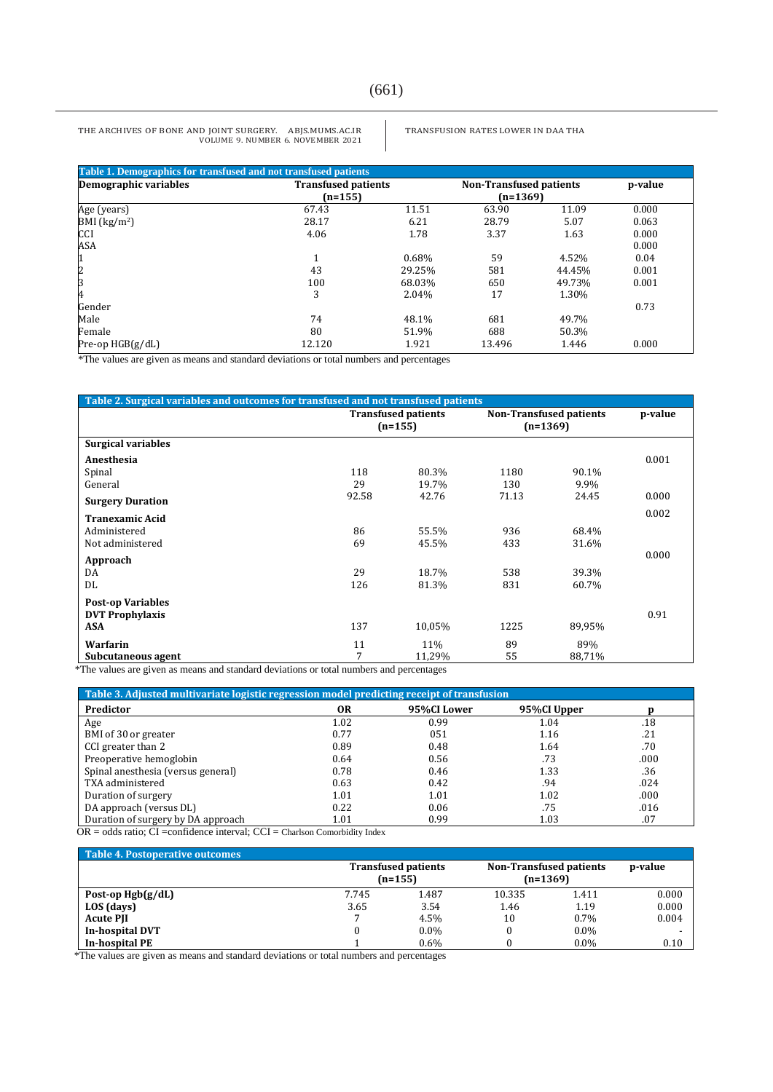#### TRANSFUSION RATES LOWER IN DAA THA

| Table 1. Demographics for transfused and not transfused patients |                            |        |                                |        |         |  |
|------------------------------------------------------------------|----------------------------|--------|--------------------------------|--------|---------|--|
| Demographic variables                                            | <b>Transfused patients</b> |        | <b>Non-Transfused patients</b> |        | p-value |  |
|                                                                  | $(n=155)$                  |        | $(n=1369)$                     |        |         |  |
| Age (years)                                                      | 67.43                      | 11.51  | 63.90                          | 11.09  | 0.000   |  |
| BMI $(kg/m2)$                                                    | 28.17                      | 6.21   | 28.79                          | 5.07   | 0.063   |  |
| <b>CCI</b>                                                       | 4.06                       | 1.78   | 3.37                           | 1.63   | 0.000   |  |
| ASA                                                              |                            |        |                                |        | 0.000   |  |
| 1                                                                |                            | 0.68%  | 59                             | 4.52%  | 0.04    |  |
| $\overline{c}$                                                   | 43                         | 29.25% | 581                            | 44.45% | 0.001   |  |
| 3                                                                | 100                        | 68.03% | 650                            | 49.73% | 0.001   |  |
| 4                                                                | 3                          | 2.04%  | 17                             | 1.30%  |         |  |
| Gender                                                           |                            |        |                                |        | 0.73    |  |
| Male                                                             | 74                         | 48.1%  | 681                            | 49.7%  |         |  |
| Female                                                           | 80                         | 51.9%  | 688                            | 50.3%  |         |  |
| Pre-op HGB(g/dL)                                                 | 12.120                     | 1.921  | 13.496                         | 1.446  | 0.000   |  |

\*The values are given as means and standard deviations or total numbers and percentages

| Table 2. Surgical variables and outcomes for transfused and not transfused patients |                                         |        |                                              |        |         |  |
|-------------------------------------------------------------------------------------|-----------------------------------------|--------|----------------------------------------------|--------|---------|--|
|                                                                                     | <b>Transfused patients</b><br>$(n=155)$ |        | <b>Non-Transfused patients</b><br>$(n=1369)$ |        | p-value |  |
| <b>Surgical variables</b>                                                           |                                         |        |                                              |        |         |  |
| Anesthesia                                                                          |                                         |        |                                              |        | 0.001   |  |
| Spinal                                                                              | 118                                     | 80.3%  | 1180                                         | 90.1%  |         |  |
| General                                                                             | 29                                      | 19.7%  | 130                                          | 9.9%   |         |  |
| <b>Surgery Duration</b>                                                             | 92.58                                   | 42.76  | 71.13                                        | 24.45  | 0.000   |  |
| <b>Tranexamic Acid</b>                                                              |                                         |        |                                              |        | 0.002   |  |
| Administered                                                                        | 86                                      | 55.5%  | 936                                          | 68.4%  |         |  |
| Not administered                                                                    | 69                                      | 45.5%  | 433                                          | 31.6%  |         |  |
| Approach                                                                            |                                         |        |                                              |        | 0.000   |  |
| DA                                                                                  | 29                                      | 18.7%  | 538                                          | 39.3%  |         |  |
| DL                                                                                  | 126                                     | 81.3%  | 831                                          | 60.7%  |         |  |
| <b>Post-op Variables</b>                                                            |                                         |        |                                              |        |         |  |
| <b>DVT Prophylaxis</b>                                                              |                                         |        |                                              |        | 0.91    |  |
| ASA                                                                                 | 137                                     | 10,05% | 1225                                         | 89,95% |         |  |
| Warfarin                                                                            | 11                                      | 11%    | 89                                           | 89%    |         |  |
| Subcutaneous agent                                                                  | 7                                       | 11,29% | 55                                           | 88,71% |         |  |

\*The values are given as means and standard deviations or total numbers and percentages

| Table 3. Adjusted multivariate logistic regression model predicting receipt of transfusion |      |             |             |      |  |  |
|--------------------------------------------------------------------------------------------|------|-------------|-------------|------|--|--|
| Predictor                                                                                  | 0R   | 95%CI Lower | 95%CI Upper |      |  |  |
| Age                                                                                        | 1.02 | 0.99        | 1.04        | .18  |  |  |
| BMI of 30 or greater                                                                       | 0.77 | 051         | 1.16        | .21  |  |  |
| CCI greater than 2                                                                         | 0.89 | 0.48        | 1.64        | .70  |  |  |
| Preoperative hemoglobin                                                                    | 0.64 | 0.56        | .73         | .000 |  |  |
| Spinal anesthesia (versus general)                                                         | 0.78 | 0.46        | 1.33        | .36  |  |  |
| TXA administered                                                                           | 0.63 | 0.42        | .94         | .024 |  |  |
| Duration of surgery                                                                        | 1.01 | 1.01        | 1.02        | .000 |  |  |
| DA approach (versus DL)                                                                    | 0.22 | 0.06        | .75         | .016 |  |  |
| Duration of surgery by DA approach                                                         | 1.01 | 0.99        | 1.03        | .07  |  |  |

OR = odds ratio; CI =confidence interval; CCI = Charlson Comorbidity Index

| Table 4. Postoperative outcomes |                                         |         |                                              |         |         |  |
|---------------------------------|-----------------------------------------|---------|----------------------------------------------|---------|---------|--|
|                                 | <b>Transfused patients</b><br>$(n=155)$ |         | <b>Non-Transfused patients</b><br>$(n=1369)$ |         | p-value |  |
| Post-op $Hgb(g/dL)$             | 7.745                                   | 1.487   | 10.335                                       | 1.411   | 0.000   |  |
| LOS (days)                      | 3.65                                    | 3.54    | 1.46                                         | 1.19    | 0.000   |  |
| <b>Acute PII</b>                |                                         | 4.5%    | 10                                           | $0.7\%$ | 0.004   |  |
| In-hospital DVT                 |                                         | $0.0\%$ |                                              | $0.0\%$ |         |  |
| <b>In-hospital PE</b>           |                                         | 0.6%    |                                              | $0.0\%$ | 0.10    |  |

\*The values are given as means and standard deviations or total numbers and percentages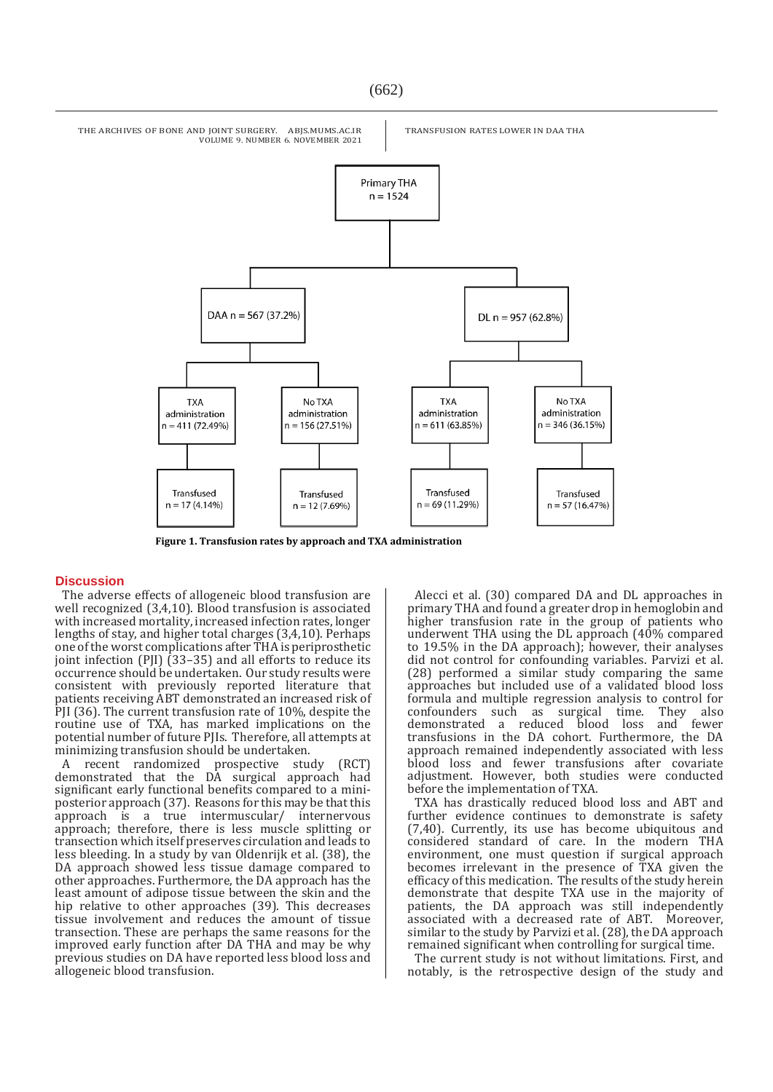

 **Figure 1. Transfusion rates by approach and TXA administration**

#### **Discussion**

The adverse effects of allogeneic blood transfusion are well recognized (3,4,10). Blood transfusion is associated with increased mortality, increased infection rates, longer lengths of stay, and higher total charges (3,4,10). Perhaps one of the worst complications after THA is periprosthetic joint infection (PJI) (33–35) and all efforts to reduce its occurrence should be undertaken. Our study results were consistent with previously reported literature that patients receiving ABT demonstrated an increased risk of PJI (36). The current transfusion rate of 10%, despite the routine use of TXA, has marked implications on the potential number of future PJIs. Therefore, all attempts at minimizing transfusion should be undertaken.

A recent randomized prospective study (RCT) demonstrated that the DA surgical approach had significant early functional benefits compared to a miniposterior approach (37). Reasons for this may be that this approach is a true intermuscular/ internervous approach; therefore, there is less muscle splitting or transection which itself preserves circulation and leads to less bleeding. In a study by van Oldenrijk et al. (38), the DA approach showed less tissue damage compared to other approaches. Furthermore, the DA approach has the least amount of adipose tissue between the skin and the hip relative to other approaches (39). This decreases tissue involvement and reduces the amount of tissue transection. These are perhaps the same reasons for the improved early function after DA THA and may be why previous studies on DA have reported less blood loss and allogeneic blood transfusion.

Alecci et al. (30) compared DA and DL approaches in primary THA and found a greater drop in hemoglobin and higher transfusion rate in the group of patients who underwent THA using the DL approach (40% compared to 19.5% in the DA approach); however, their analyses did not control for confounding variables. Parvizi et al. (28) performed a similar study comparing the same approaches but included use of a validated blood loss formula and multiple regression analysis to control for confounders such as surgical time. They also demonstrated a reduced blood loss and fewer transfusions in the DA cohort. Furthermore, the DA approach remained independently associated with less blood loss and fewer transfusions after covariate adjustment. However, both studies were conducted before the implementation of TXA.

TXA has drastically reduced blood loss and ABT and further evidence continues to demonstrate is safety (7,40). Currently, its use has become ubiquitous and considered standard of care. In the modern THA environment, one must question if surgical approach becomes irrelevant in the presence of TXA given the efficacy of this medication. The results of the study herein demonstrate that despite TXA use in the majority of patients, the DA approach was still independently associated with a decreased rate of ABT. Moreover, similar to the study by Parvizi et al. (28), the DA approach remained significant when controlling for surgical time.

The current study is not without limitations. First, and notably, is the retrospective design of the study and

(662)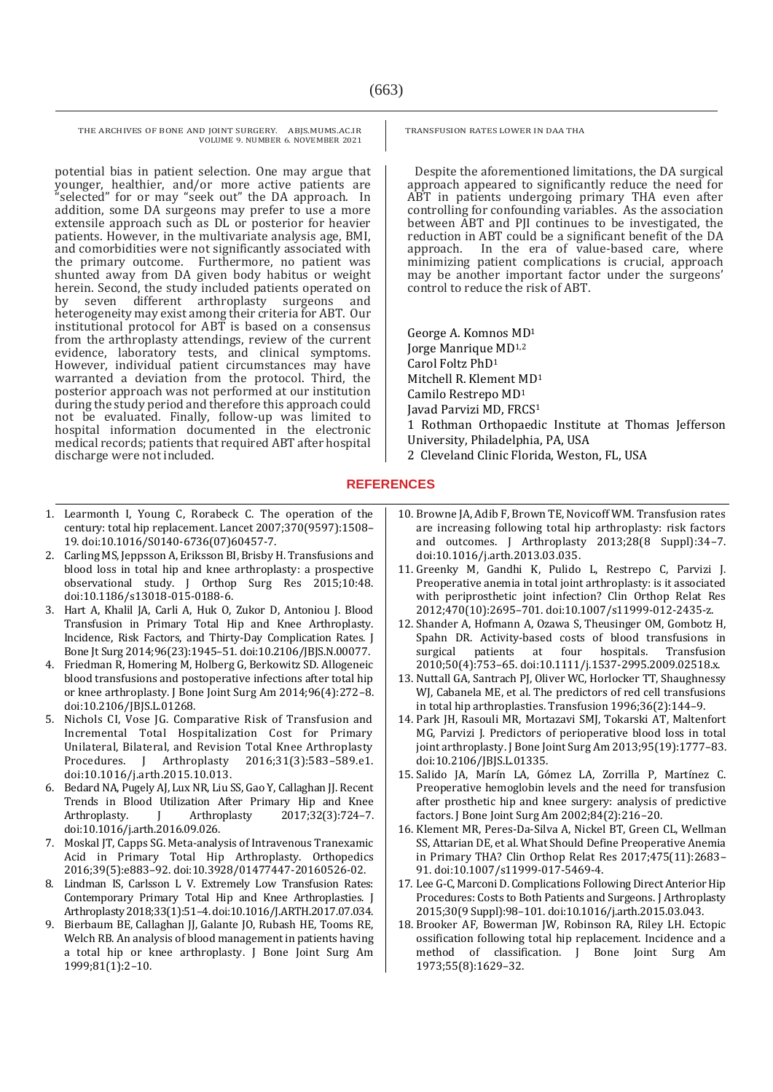potential bias in patient selection. One may argue that younger, healthier, and/or more active patients are "selected" for or may "seek out" the DA approach. In addition, some DA surgeons may prefer to use a more extensile approach such as DL or posterior for heavier patients. However, in the multivariate analysis age, BMI, and comorbidities were not significantly associated with the primary outcome. Furthermore, no patient was shunted away from DA given body habitus or weight herein. Second, the study included patients operated on by seven different arthroplasty surgeons and heterogeneity may exist among their criteria for ABT. Our institutional protocol for ABT is based on a consensus from the arthroplasty attendings, review of the current evidence, laboratory tests, and clinical symptoms. However, individual patient circumstances may have warranted a deviation from the protocol. Third, the posterior approach was not performed at our institution during the study period and therefore this approach could not be evaluated. Finally, follow-up was limited to hospital information documented in the electronic medical records; patients that required ABT after hospital discharge were not included.

- 1. Learmonth I, Young C, Rorabeck C. The operation of the
- century: total hip replacement. Lancet 2007;370(9597):1508– 19. doi:10.1016/S0140-6736(07)60457-7.
- 2. Carling MS, Jeppsson A, Eriksson BI, Brisby H. Transfusions and blood loss in total hip and knee arthroplasty: a prospective observational study. J Orthop Surg Res 2015;10:48. doi:10.1186/s13018-015-0188-6.
- 3. Hart A, Khalil JA, Carli A, Huk O, Zukor D, Antoniou J. Blood Transfusion in Primary Total Hip and Knee Arthroplasty. Incidence, Risk Factors, and Thirty-Day Complication Rates. J Bone Jt Surg 2014;96(23):1945–51. doi:10.2106/JBJS.N.00077.
- 4. Friedman R, Homering M, Holberg G, Berkowitz SD. Allogeneic blood transfusions and postoperative infections after total hip or knee arthroplasty. J Bone Joint Surg Am 2014;96(4):272–8. doi:10.2106/JBJS.L.01268.
- 5. Nichols CI, Vose JG. Comparative Risk of Transfusion and Incremental Total Hospitalization Cost for Primary Unilateral, Bilateral, and Revision Total Knee Arthroplasty Procedures. J Arthroplasty 2016;31(3):583–589.e1. doi:10.1016/j.arth.2015.10.013.
- 6. Bedard NA, Pugely AJ, Lux NR, Liu SS, Gao Y, Callaghan JJ. Recent Trends in Blood Utilization After Primary Hip and Knee Arthroplasty. J Arthroplasty 2017;32(3):724-7. doi:10.1016/j.arth.2016.09.026.
- 7. Moskal JT, Capps SG. Meta-analysis of Intravenous Tranexamic Acid in Primary Total Hip Arthroplasty. Orthopedics 2016;39(5):e883–92. doi:10.3928/01477447-20160526-02.
- 8. Lindman IS, Carlsson L V. Extremely Low Transfusion Rates: Contemporary Primary Total Hip and Knee Arthroplasties. J Arthroplasty 2018;33(1):51–4. doi:10.1016/J.ARTH.2017.07.034.
- 9. Bierbaum BE, Callaghan JJ, Galante JO, Rubash HE, Tooms RE, Welch RB. An analysis of blood management in patients having a total hip or knee arthroplasty. J Bone Joint Surg Am 1999;81(1):2–10.

TRANSFUSION RATES LOWER IN DAA THA

Despite the aforementioned limitations, the DA surgical approach appeared to significantly reduce the need for ABT in patients undergoing primary THA even after controlling for confounding variables. As the association between ABT and PJI continues to be investigated, the reduction in ABT could be a significant benefit of the DA approach. In the era of value-based care, where minimizing patient complications is crucial, approach may be another important factor under the surgeons' control to reduce the risk of ABT.

George A. Komnos MD<sup>1</sup> Jorge Manrique MD1,2 Carol Foltz PhD<sup>1</sup> Mitchell R. Klement MD<sup>1</sup> Camilo Restrepo MD<sup>1</sup> Javad Parvizi MD, FRCS<sup>1</sup> 1 Rothman Orthopaedic Institute at Thomas Jefferson University, Philadelphia, PA, USA

2 Cleveland Clinic Florida, Weston, FL, USA

## **REFERENCES**

- 10. Browne JA, Adib F, Brown TE, Novicoff WM. Transfusion rates are increasing following total hip arthroplasty: risk factors and outcomes. J Arthroplasty 2013;28(8 Suppl):34–7. doi:10.1016/j.arth.2013.03.035.
- 11. Greenky M, Gandhi K, Pulido L, Restrepo C, Parvizi J. Preoperative anemia in total joint arthroplasty: is it associated with periprosthetic joint infection? Clin Orthop Relat Res 2012;470(10):2695–701. doi:10.1007/s11999-012-2435-z.
- 12. Shander A, Hofmann A, Ozawa S, Theusinger OM, Gombotz H, Spahn DR. Activity-based costs of blood transfusions in surgical patients at four hospitals. Transfusion 2010;50(4):753–65. doi:10.1111/j.1537-2995.2009.02518.x.
- 13. Nuttall GA, Santrach PJ, Oliver WC, Horlocker TT, Shaughnessy WJ, Cabanela ME, et al. The predictors of red cell transfusions in total hip arthroplasties. Transfusion 1996;36(2):144–9.
- 14. Park JH, Rasouli MR, Mortazavi SMJ, Tokarski AT, Maltenfort MG, Parvizi J. Predictors of perioperative blood loss in total joint arthroplasty. J Bone Joint Surg Am 2013;95(19):1777-83. doi:10.2106/JBJS.L.01335.
- 15. Salido JA, Marín LA, Gómez LA, Zorrilla P, Martínez C. Preoperative hemoglobin levels and the need for transfusion after prosthetic hip and knee surgery: analysis of predictive factors. J Bone Joint Surg Am 2002;84(2):216–20.
- 16. Klement MR, Peres-Da-Silva A, Nickel BT, Green CL, Wellman SS, Attarian DE, et al. What Should Define Preoperative Anemia in Primary THA? Clin Orthop Relat Res 2017;475(11):2683– 91. doi:10.1007/s11999-017-5469-4.
- 17. Lee G-C, Marconi D. Complications Following Direct Anterior Hip Procedures: Costs to Both Patients and Surgeons. J Arthroplasty 2015;30(9 Suppl):98–101. doi:10.1016/j.arth.2015.03.043.
- 18. Brooker AF, Bowerman JW, Robinson RA, Riley LH. Ectopic ossification following total hip replacement. Incidence and a method of classification. J Bone Joint Surg Am 1973;55(8):1629–32.